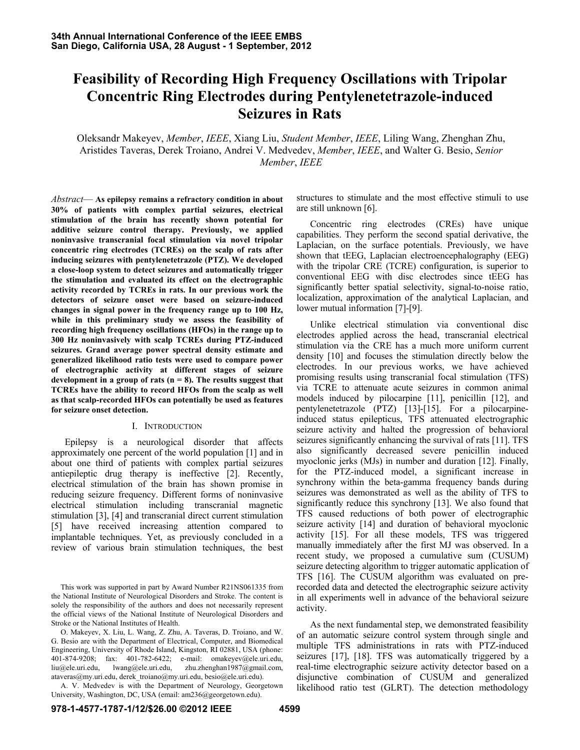# **Feasibility of Recording High Frequency Oscillations with Tripolar Concentric Ring Electrodes during Pentylenetetrazole-induced Seizures in Rats**

Oleksandr Makeyev, *Member*, *IEEE*, Xiang Liu, *Student Member*, *IEEE*, Liling Wang, Zhenghan Zhu, Aristides Taveras, Derek Troiano, Andrei V. Medvedev, *Member*, *IEEE*, and Walter G. Besio, *Senior Member*, *IEEE*

*Abstract*— **As epilepsy remains a refractory condition in about 30% of patients with complex partial seizures, electrical stimulation of the brain has recently shown potential for additive seizure control therapy. Previously, we applied noninvasive transcranial focal stimulation via novel tripolar concentric ring electrodes (TCREs) on the scalp of rats after inducing seizures with pentylenetetrazole (PTZ). We developed a close-loop system to detect seizures and automatically trigger the stimulation and evaluated its effect on the electrographic activity recorded by TCREs in rats. In our previous work the detectors of seizure onset were based on seizure-induced changes in signal power in the frequency range up to 100 Hz, while in this preliminary study we assess the feasibility of recording high frequency oscillations (HFOs) in the range up to 300 Hz noninvasively with scalp TCREs during PTZ-induced seizures. Grand average power spectral density estimate and generalized likelihood ratio tests were used to compare power of electrographic activity at different stages of seizure development in a group of rats (n = 8). The results suggest that TCREs have the ability to record HFOs from the scalp as well as that scalp-recorded HFOs can potentially be used as features for seizure onset detection.** 

### I. INTRODUCTION

Epilepsy is a neurological disorder that affects approximately one percent of the world population [1] and in about one third of patients with complex partial seizures antiepileptic drug therapy is ineffective [2]. Recently, electrical stimulation of the brain has shown promise in reducing seizure frequency. Different forms of noninvasive electrical stimulation including transcranial magnetic stimulation [3], [4] and transcranial direct current stimulation [5] have received increasing attention compared to implantable techniques. Yet, as previously concluded in a review of various brain stimulation techniques, the best

This work was supported in part by Award Number R21NS061335 from the National Institute of Neurological Disorders and Stroke. The content is solely the responsibility of the authors and does not necessarily represent the official views of the National Institute of Neurological Disorders and Stroke or the National Institutes of Health.

O. Makeyev, X. Liu, L. Wang, Z. Zhu, A. Taveras, D. Troiano, and W. G. Besio are with the Department of Electrical, Computer, and Biomedical Engineering, University of Rhode Island, Kingston, RI 02881, USA (phone: 401-874-9208; fax: 401-782-6422; e-mail: omakeyev@ele.uri.edu, liu@ele.uri.edu, lwang@ele.uri.edu, zhu.zhenghan1987@gmail.com, ataveras@my.uri.edu, derek\_troiano@my.uri.edu, besio@ele.uri.edu).

A. V. Medvedev is with the Department of Neurology, Georgetown University, Washington, DC, USA (email: am236@georgetown.edu).

structures to stimulate and the most effective stimuli to use are still unknown [6].

Concentric ring electrodes (CREs) have unique capabilities. They perform the second spatial derivative, the Laplacian, on the surface potentials. Previously, we have shown that tEEG, Laplacian electroencephalography (EEG) with the tripolar CRE (TCRE) configuration, is superior to conventional EEG with disc electrodes since tEEG has significantly better spatial selectivity, signal-to-noise ratio, localization, approximation of the analytical Laplacian, and lower mutual information [7]-[9].

Unlike electrical stimulation via conventional disc electrodes applied across the head, transcranial electrical stimulation via the CRE has a much more uniform current density [10] and focuses the stimulation directly below the electrodes. In our previous works, we have achieved promising results using transcranial focal stimulation (TFS) via TCRE to attenuate acute seizures in common animal models induced by pilocarpine [11], penicillin [12], and pentylenetetrazole (PTZ) [13]-[15]. For a pilocarpineinduced status epilepticus, TFS attenuated electrographic seizure activity and halted the progression of behavioral seizures significantly enhancing the survival of rats [11]. TFS also significantly decreased severe penicillin induced myoclonic jerks (MJs) in number and duration [12]. Finally, for the PTZ-induced model, a significant increase in synchrony within the beta-gamma frequency bands during seizures was demonstrated as well as the ability of TFS to significantly reduce this synchrony [13]. We also found that TFS caused reductions of both power of electrographic seizure activity [14] and duration of behavioral myoclonic activity [15]. For all these models, TFS was triggered manually immediately after the first MJ was observed. In a recent study, we proposed a cumulative sum (CUSUM) seizure detecting algorithm to trigger automatic application of TFS [16]. The CUSUM algorithm was evaluated on prerecorded data and detected the electrographic seizure activity in all experiments well in advance of the behavioral seizure activity.

As the next fundamental step, we demonstrated feasibility of an automatic seizure control system through single and multiple TFS administrations in rats with PTZ-induced seizures [17], [18]. TFS was automatically triggered by a real-time electrographic seizure activity detector based on a disjunctive combination of CUSUM and generalized likelihood ratio test (GLRT). The detection methodology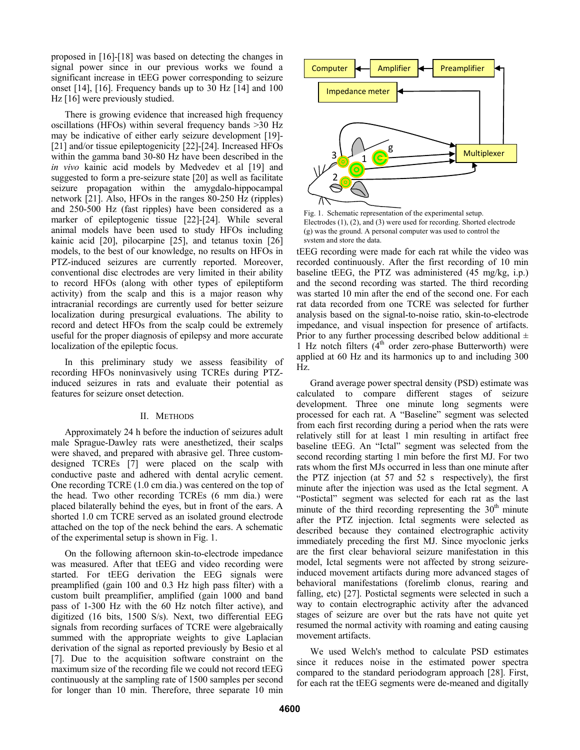proposed in [16]-[18] was based on detecting the changes in signal power since in our previous works we found a significant increase in tEEG power corresponding to seizure onset [14], [16]. Frequency bands up to 30 Hz [14] and 100 Hz [16] were previously studied.

There is growing evidence that increased high frequency oscillations (HFOs) within several frequency bands >30 Hz may be indicative of either early seizure development [19]- [21] and/or tissue epileptogenicity [22]-[24]. Increased HFOs within the gamma band 30-80 Hz have been described in the *in vivo* kainic acid models by Medvedev et al [19] and suggested to form a pre-seizure state [20] as well as facilitate seizure propagation within the amygdalo-hippocampal network [21]. Also, HFOs in the ranges 80-250 Hz (ripples) and 250-500 Hz (fast ripples) have been considered as a marker of epileptogenic tissue [22]-[24]. While several animal models have been used to study HFOs including kainic acid [20], pilocarpine [25], and tetanus toxin [26] models, to the best of our knowledge, no results on HFOs in PTZ-induced seizures are currently reported. Moreover, conventional disc electrodes are very limited in their ability to record HFOs (along with other types of epileptiform activity) from the scalp and this is a major reason why intracranial recordings are currently used for better seizure localization during presurgical evaluations. The ability to record and detect HFOs from the scalp could be extremely useful for the proper diagnosis of epilepsy and more accurate localization of the epileptic focus.

In this preliminary study we assess feasibility of recording HFOs noninvasively using TCREs during PTZinduced seizures in rats and evaluate their potential as features for seizure onset detection.

## II. METHODS

Approximately 24 h before the induction of seizures adult male Sprague-Dawley rats were anesthetized, their scalps were shaved, and prepared with abrasive gel. Three customdesigned TCREs [7] were placed on the scalp with conductive paste and adhered with dental acrylic cement. One recording TCRE (1.0 cm dia.) was centered on the top of the head. Two other recording TCREs (6 mm dia.) were placed bilaterally behind the eyes, but in front of the ears. A shorted 1.0 cm TCRE served as an isolated ground electrode attached on the top of the neck behind the ears. A schematic of the experimental setup is shown in Fig. 1.

On the following afternoon skin-to-electrode impedance was measured. After that tEEG and video recording were started. For tEEG derivation the EEG signals were preamplified (gain 100 and 0.3 Hz high pass filter) with a custom built preamplifier, amplified (gain 1000 and band pass of 1-300 Hz with the 60 Hz notch filter active), and digitized (16 bits, 1500 S/s). Next, two differential EEG signals from recording surfaces of TCRE were algebraically summed with the appropriate weights to give Laplacian derivation of the signal as reported previously by Besio et al [7]. Due to the acquisition software constraint on the maximum size of the recording file we could not record tEEG continuously at the sampling rate of 1500 samples per second for longer than 10 min. Therefore, three separate 10 min



Fig. 1. Schematic representation of the experimental setup. Electrodes (1), (2), and (3) were used for recording. Shorted electrode (g) was the ground. A personal computer was used to control the system and store the data.

tEEG recording were made for each rat while the video was recorded continuously. After the first recording of 10 min baseline tEEG, the PTZ was administered (45 mg/kg, i.p.) and the second recording was started. The third recording was started 10 min after the end of the second one. For each rat data recorded from one TCRE was selected for further analysis based on the signal-to-noise ratio, skin-to-electrode impedance, and visual inspection for presence of artifacts. Prior to any further processing described below additional  $\pm$ 1 Hz notch filters  $(4<sup>th</sup> order zero-phase Butterworth)$  were applied at 60 Hz and its harmonics up to and including 300 Hz.

Grand average power spectral density (PSD) estimate was calculated to compare different stages of seizure development. Three one minute long segments were processed for each rat. A "Baseline" segment was selected from each first recording during a period when the rats were relatively still for at least 1 min resulting in artifact free baseline tEEG. An "Ictal" segment was selected from the second recording starting 1 min before the first MJ. For two rats whom the first MJs occurred in less than one minute after the PTZ injection (at 57 and 52 s respectively), the first minute after the injection was used as the Ictal segment. A "Postictal" segment was selected for each rat as the last minute of the third recording representing the  $30<sup>th</sup>$  minute after the PTZ injection. Ictal segments were selected as described because they contained electrographic activity immediately preceding the first MJ. Since myoclonic jerks are the first clear behavioral seizure manifestation in this model, Ictal segments were not affected by strong seizureinduced movement artifacts during more advanced stages of behavioral manifestations (forelimb clonus, rearing and falling, etc) [27]. Postictal segments were selected in such a way to contain electrographic activity after the advanced stages of seizure are over but the rats have not quite yet resumed the normal activity with roaming and eating causing movement artifacts.

We used Welch's method to calculate PSD estimates since it reduces noise in the estimated power spectra compared to the standard periodogram approach [28]. First, for each rat the tEEG segments were de-meaned and digitally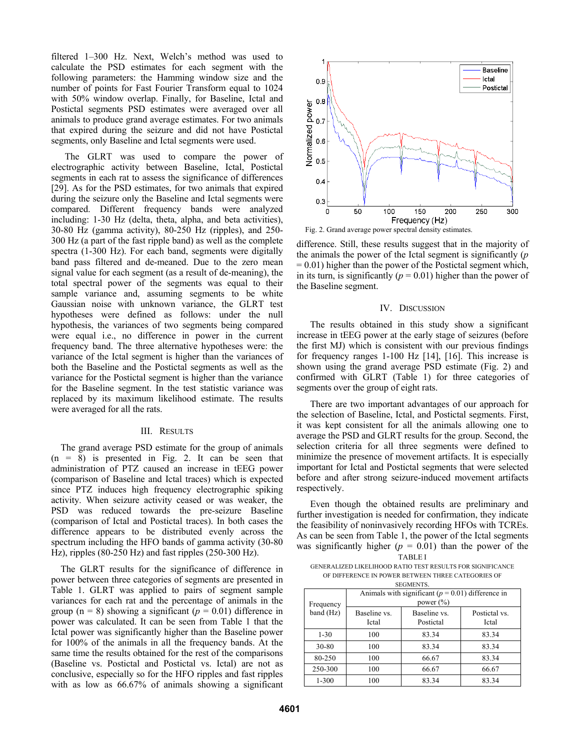filtered 1–300 Hz. Next, Welch's method was used to calculate the PSD estimates for each segment with the following parameters: the Hamming window size and the number of points for Fast Fourier Transform equal to 1024 with 50% window overlap. Finally, for Baseline, Ictal and Postictal segments PSD estimates were averaged over all animals to produce grand average estimates. For two animals that expired during the seizure and did not have Postictal segments, only Baseline and Ictal segments were used.

The GLRT was used to compare the power of electrographic activity between Baseline, Ictal, Postictal segments in each rat to assess the significance of differences [29]. As for the PSD estimates, for two animals that expired during the seizure only the Baseline and Ictal segments were compared. Different frequency bands were analyzed including: 1-30 Hz (delta, theta, alpha, and beta activities), 30-80 Hz (gamma activity), 80-250 Hz (ripples), and 250- 300 Hz (a part of the fast ripple band) as well as the complete spectra (1-300 Hz). For each band, segments were digitally band pass filtered and de-meaned. Due to the zero mean signal value for each segment (as a result of de-meaning), the total spectral power of the segments was equal to their sample variance and, assuming segments to be white Gaussian noise with unknown variance, the GLRT test hypotheses were defined as follows: under the null hypothesis, the variances of two segments being compared were equal i.e., no difference in power in the current frequency band. The three alternative hypotheses were: the variance of the Ictal segment is higher than the variances of both the Baseline and the Postictal segments as well as the variance for the Postictal segment is higher than the variance for the Baseline segment. In the test statistic variance was replaced by its maximum likelihood estimate. The results were averaged for all the rats.

#### III. RESULTS

The grand average PSD estimate for the group of animals  $(n = 8)$  is presented in Fig. 2. It can be seen that administration of PTZ caused an increase in tEEG power (comparison of Baseline and Ictal traces) which is expected since PTZ induces high frequency electrographic spiking activity. When seizure activity ceased or was weaker, the PSD was reduced towards the pre-seizure Baseline (comparison of Ictal and Postictal traces). In both cases the difference appears to be distributed evenly across the spectrum including the HFO bands of gamma activity (30-80 Hz), ripples (80-250 Hz) and fast ripples (250-300 Hz).

The GLRT results for the significance of difference in power between three categories of segments are presented in Table 1. GLRT was applied to pairs of segment sample variances for each rat and the percentage of animals in the group ( $n = 8$ ) showing a significant ( $p = 0.01$ ) difference in power was calculated. It can be seen from Table 1 that the Ictal power was significantly higher than the Baseline power for 100% of the animals in all the frequency bands. At the same time the results obtained for the rest of the comparisons (Baseline vs. Postictal and Postictal vs. Ictal) are not as conclusive, especially so for the HFO ripples and fast ripples with as low as 66.67% of animals showing a significant



difference. Still, these results suggest that in the majority of the animals the power of the Ictal segment is significantly (*p*  $= 0.01$ ) higher than the power of the Postictal segment which, in its turn, is significantly ( $p = 0.01$ ) higher than the power of the Baseline segment.

### IV. DISCUSSION

The results obtained in this study show a significant increase in tEEG power at the early stage of seizures (before the first MJ) which is consistent with our previous findings for frequency ranges 1-100 Hz [14], [16]. This increase is shown using the grand average PSD estimate (Fig. 2) and confirmed with GLRT (Table 1) for three categories of segments over the group of eight rats.

There are two important advantages of our approach for the selection of Baseline, Ictal, and Postictal segments. First, it was kept consistent for all the animals allowing one to average the PSD and GLRT results for the group. Second, the selection criteria for all three segments were defined to minimize the presence of movement artifacts. It is especially important for Ictal and Postictal segments that were selected before and after strong seizure-induced movement artifacts respectively.

Even though the obtained results are preliminary and further investigation is needed for confirmation, they indicate the feasibility of noninvasively recording HFOs with TCREs. As can be seen from Table 1, the power of the Ictal segments was significantly higher  $(p = 0.01)$  than the power of the TABLE I

GENERALIZED LIKELIHOOD RATIO TEST RESULTS FOR SIGNIFICANCE OF DIFFERENCE IN POWER BETWEEN THREE CATEGORIES OF **SEGMENTS** 

| ULAINLIN IU.           |                                                                       |                           |                        |
|------------------------|-----------------------------------------------------------------------|---------------------------|------------------------|
| Frequency<br>band (Hz) | Animals with significant ( $p = 0.01$ ) difference in<br>power $(\%)$ |                           |                        |
|                        | Baseline vs.<br>Ictal                                                 | Baseline vs.<br>Postictal | Postictal vs.<br>Ictal |
| $1 - 30$               | 100                                                                   | 83.34                     | 83.34                  |
| 30-80                  | 100                                                                   | 83.34                     | 83.34                  |
| 80-250                 | 100                                                                   | 66.67                     | 83.34                  |
| 250-300                | 100                                                                   | 66.67                     | 66.67                  |
| $1 - 300$              | 100                                                                   | 83.34                     | 83.34                  |